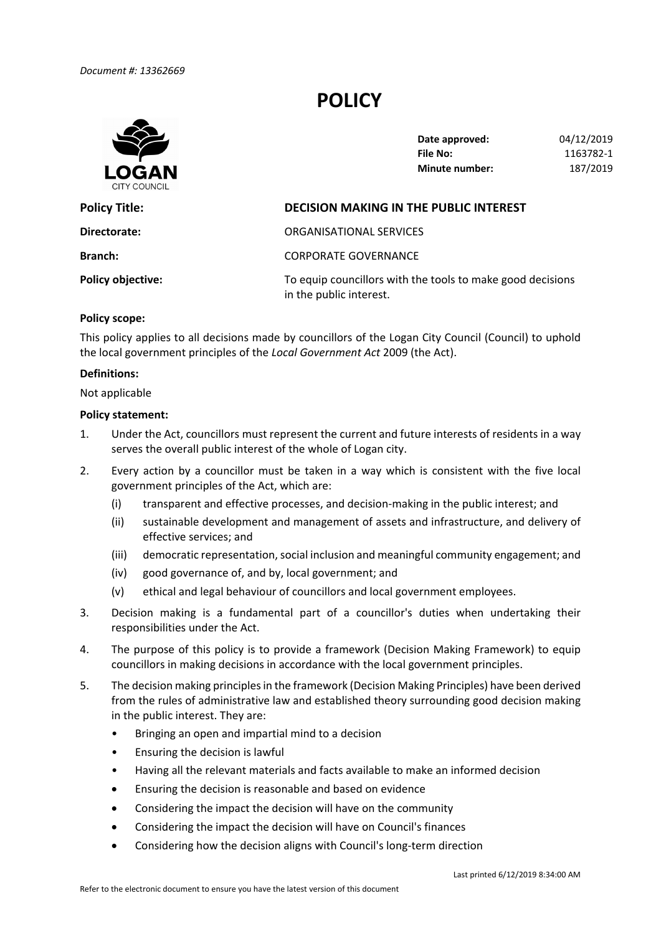# **POLICY**



 **Date approved:** 04/12/2019 **File No: Minute number:** 187/2019 **File No:** 1163782‐1

| <b>Policy Title:</b>     | <b>DECISION MAKING IN THE PUBLIC INTEREST</b>                                         |  |
|--------------------------|---------------------------------------------------------------------------------------|--|
| Directorate:             | ORGANISATIONAL SERVICES                                                               |  |
| <b>Branch:</b>           | <b>CORPORATE GOVERNANCE</b>                                                           |  |
| <b>Policy objective:</b> | To equip councillors with the tools to make good decisions<br>in the public interest. |  |

#### **Policy scope:**

 This policy applies to all decisions made by councillors of the Logan City Council (Council) to uphold  the local government principles of the *Local Government Act* 2009 (the Act).

#### **Definitions:**

Not applicable

#### **Policy statement:**

- 1. Under the Act, councillors must represent the current and future interests of residents in a way serves the overall public interest of the whole of Logan city.
- 2. Every action by a councillor must be taken in a way which is consistent with the five local government principles of the Act, which are:
	- (i) transparent and effective processes, and decision‐making in the public interest; and
	- (ii) sustainable development and management of assets and infrastructure, and delivery of effective services; and
	- (iii) democratic representation, social inclusion and meaningful community engagement; and
	- (iv) good governance of, and by, local government; and
	- (v) ethical and legal behaviour of councillors and local government employees.
- 3. Decision making is a fundamental part of a councillor's duties when undertaking their responsibilities under the Act.
- 4. The purpose of this policy is to provide a framework (Decision Making Framework) to equip councillors in making decisions in accordance with the local government principles.
- 5. The decision making principles in the framework (Decision Making Principles) have been derived from the rules of administrative law and established theory surrounding good decision making in the public interest. They are:
	- Bringing an open and impartial mind to a decision
	- Ensuring the decision is lawful
	- Having all the relevant materials and facts available to make an informed decision
	- Ensuring the decision is reasonable and based on evidence
	- Considering the impact the decision will have on the community
	- Considering the impact the decision will have on Council's finances
	- Considering how the decision aligns with Council's long-term direction